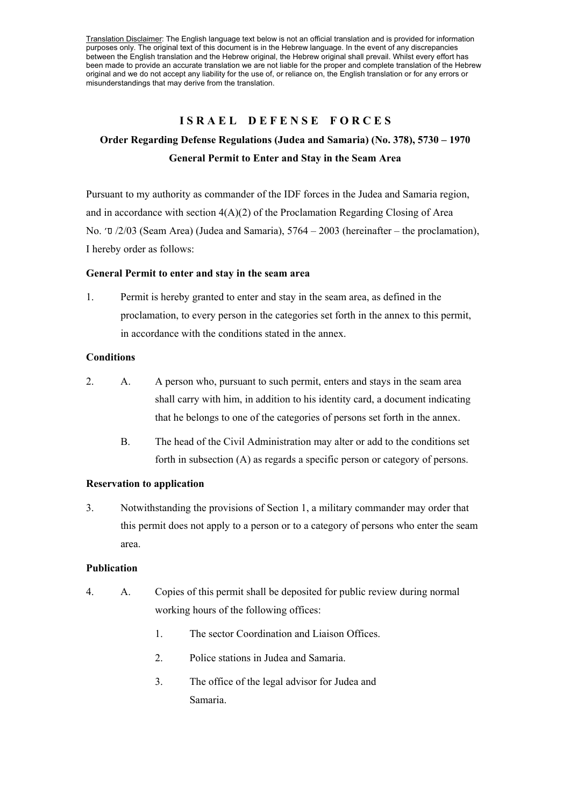Translation Disclaimer: The English language text below is not an official translation and is provided for information purposes only. The original text of this document is in the Hebrew language. In the event of any discrepancies between the English translation and the Hebrew original, the Hebrew original shall prevail. Whilst every effort has been made to provide an accurate translation we are not liable for the proper and complete translation of the Hebrew original and we do not accept any liability for the use of, or reliance on, the English translation or for any errors or misunderstandings that may derive from the translation.

#### **ISRAEL DEFENSE FORCES**

# **Order Regarding Defense Regulations (Judea and Samaria) (No. 378), 5730 – 1970 General Permit to Enter and Stay in the Seam Area**

Pursuant to my authority as commander of the IDF forces in the Judea and Samaria region, and in accordance with section  $4(A)(2)$  of the Proclamation Regarding Closing of Area No.  $\sigma$  /2/03 (Seam Area) (Judea and Samaria), 5764 – 2003 (hereinafter – the proclamation), I hereby order as follows:

#### **General Permit to enter and stay in the seam area**

1. Permit is hereby granted to enter and stay in the seam area, as defined in the proclamation, to every person in the categories set forth in the annex to this permit, in accordance with the conditions stated in the annex.

#### **Conditions**

- 2. A. A person who, pursuant to such permit, enters and stays in the seam area shall carry with him, in addition to his identity card, a document indicating that he belongs to one of the categories of persons set forth in the annex.
	- B. The head of the Civil Administration may alter or add to the conditions set forth in subsection (A) as regards a specific person or category of persons.

### **Reservation to application**

3. Notwithstanding the provisions of Section 1, a military commander may order that this permit does not apply to a person or to a category of persons who enter the seam area.

#### **Publication**

- 4. A. Copies of this permit shall be deposited for public review during normal working hours of the following offices:
	- 1. The sector Coordination and Liaison Offices.
	- 2. Police stations in Judea and Samaria.
	- 3. The office of the legal advisor for Judea and Samaria.